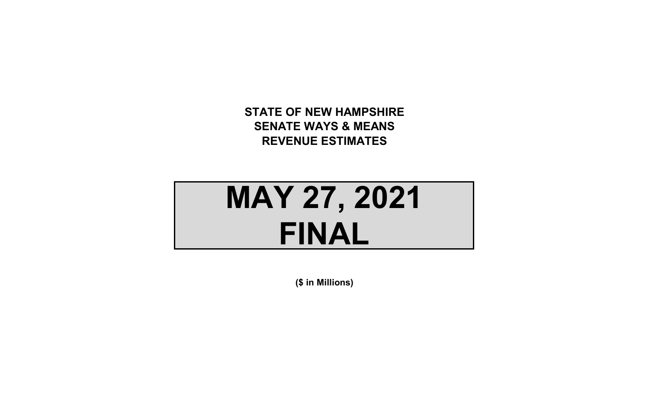**STATE OF NEW HAMPSHIRE SENATE WAYS & MEANS REVENUE ESTIMATES**

# **MAY 27, 2021 FINAL**

**(\$ in Millions)**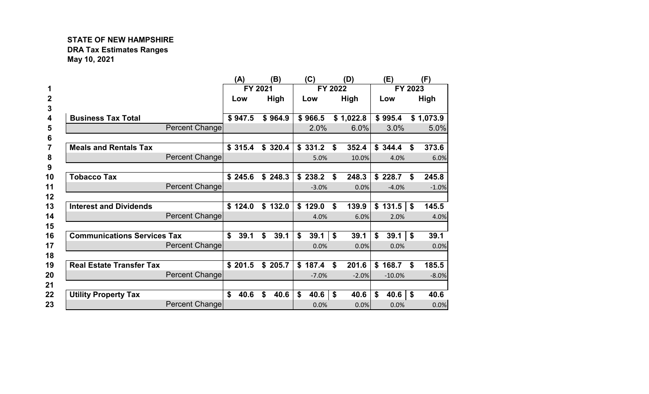# **STATE OF NEW HAMPSHIRE DRA Tax Estimates Ranges May 10, 2021**

|                                    |                       | (A)        |         | (B)     | (C)         |              | (D)       | (E)         | (F)         |
|------------------------------------|-----------------------|------------|---------|---------|-------------|--------------|-----------|-------------|-------------|
|                                    |                       |            | FY 2021 |         | FY 2022     |              |           | FY 2023     |             |
|                                    |                       | Low        |         | High    | Low         |              | High      | Low         | High        |
| <b>Business Tax Total</b>          |                       | \$947.5    |         | \$964.9 | \$966.5     |              | \$1,022.8 | \$995.4     | \$1,073.9   |
|                                    | Percent Change        |            |         |         | 2.0%        |              | 6.0%      | 3.0%        | 5.0%        |
|                                    |                       |            |         |         |             |              |           |             |             |
| <b>Meals and Rentals Tax</b>       |                       | \$315.4    |         | \$320.4 | \$331.2     | \$           | 352.4     | \$344.4     | \$<br>373.6 |
|                                    | Percent Change        |            |         |         | 5.0%        |              | 10.0%     | 4.0%        | 6.0%        |
|                                    |                       |            |         |         |             |              |           |             |             |
| <b>Tobacco Tax</b>                 |                       | \$245.6    |         | \$248.3 | \$238.2     | \$           | 248.3     | \$228.7     | \$<br>245.8 |
|                                    | <b>Percent Change</b> |            |         |         | $-3.0%$     |              | 0.0%      | $-4.0%$     | $-1.0%$     |
|                                    |                       |            |         |         |             |              |           |             |             |
| <b>Interest and Dividends</b>      |                       | \$124.0    |         | \$132.0 | \$129.0     | \$           | 139.9     | \$131.5     | \$<br>145.5 |
|                                    | Percent Change        |            |         |         | 4.0%        |              | 6.0%      | 2.0%        | 4.0%        |
|                                    |                       |            |         |         |             |              |           |             |             |
| <b>Communications Services Tax</b> |                       | \$<br>39.1 | \$      | 39.1    | \$<br>39.1  | \$           | 39.1      | \$<br>39.1  | \$<br>39.1  |
|                                    | Percent Change        |            |         |         | 0.0%        |              | 0.0%      | 0.0%        | 0.0%        |
|                                    |                       |            |         |         |             |              |           |             |             |
| <b>Real Estate Transfer Tax</b>    |                       | \$201.5    |         | \$205.7 | \$<br>187.4 | $\mathbf{s}$ | 201.6     | \$<br>168.7 | \$<br>185.5 |
|                                    | <b>Percent Change</b> |            |         |         | $-7.0%$     |              | $-2.0%$   | $-10.0%$    | $-8.0%$     |
|                                    |                       |            |         |         |             |              |           |             |             |
| <b>Utility Property Tax</b>        |                       | \$<br>40.6 | \$      | 40.6    | \$<br>40.6  | \$           | 40.6      | \$<br>40.6  | \$<br>40.6  |
|                                    | Percent Change        |            |         |         | 0.0%        |              | 0.0%      | 0.0%        | 0.0%        |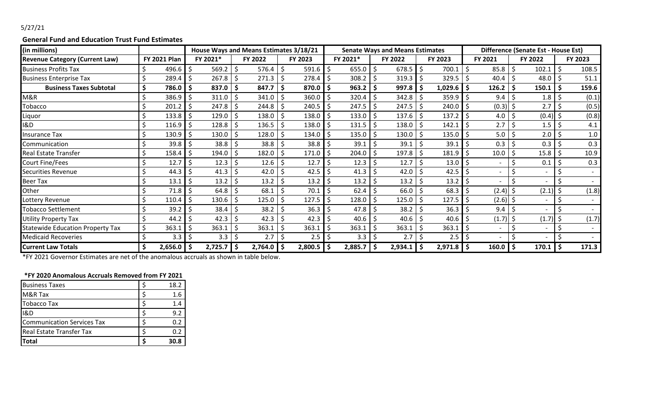## 5/27/21

### **General Fund and Education Trust Fund Estimates**

| (in millions)                           |    |                     |     | House Ways and Means Estimates 3/18/21 |         |              |    |         | <b>Senate Ways and Means Estimates</b> |          |      |              |  |                       | Difference (Senate Est - House Est) |             |      |         |     |         |
|-----------------------------------------|----|---------------------|-----|----------------------------------------|---------|--------------|----|---------|----------------------------------------|----------|------|--------------|--|-----------------------|-------------------------------------|-------------|------|---------|-----|---------|
| <b>Revenue Category (Current Law)</b>   |    | <b>FY 2021 Plan</b> |     | FY 2021*                               | FY 2022 |              |    | FY 2023 |                                        | FY 2021* |      | FY 2022      |  | FY 2023               |                                     | FY 2021     |      | FY 2022 |     | FY 2023 |
| <b>Business Profits Tax</b>             |    | 496.6               |     | 569.2                                  | -S      | 576.4        | .S | 591.6   |                                        | 655.0    |      | 678.5        |  | 700.1                 |                                     | 85.8        | Ś.   | 102.1   |     | 108.5   |
| <b>Business Enterprise Tax</b>          |    | 289.4               |     | 267.8                                  | -\$     | 271.3        | -S | 278.4   |                                        | 308.2    |      | 319.3        |  | $329.5$ $\frac{1}{5}$ |                                     | $40.4$   \$ |      | 48.0    |     | 51.1    |
| <b>Business Taxes Subtotal</b>          |    | 786.0               |     | 837.0                                  | \$      | 847.7        | -S | 870.0   |                                        | 963.2    |      | 997.8        |  | $1,029.6$ \$          |                                     | 126.2       |      | 150.1   |     | 159.6   |
| M&R                                     |    | 386.9               |     | 311.0                                  | -\$     | 341.0        |    | 360.0   |                                        | 320.4    |      | $342.8$   \$ |  | 359.9                 |                                     | 9.4         | \$   | 1.8     |     | (0.1)   |
| <b>Tobacco</b>                          |    | 201.2               |     | 247.8                                  | \$      | 244.8        | \$ | 240.5   |                                        | 247.5    | .S   | $247.5$ \$   |  | $240.0$   \$          |                                     | $(0.3)$ \$  |      | 2.7     |     | (0.5)   |
| Liquor                                  |    | 133.8               |     | 129.0                                  | -\$     | 138.0        |    | 138.0   |                                        | 133.0    |      | $137.6$   \$ |  | 137.2                 |                                     | 4.0         |      | (0.4)   |     | (0.8)   |
| <b>I&amp;D</b>                          |    | 116.9               |     | 128.8                                  | -S      | 136.5        |    | 138.0   |                                        | 131.5    |      | 138.0        |  | 142.1                 |                                     | 2.7         |      | 1.5     |     | 4.1     |
| <b>Insurance Tax</b>                    |    | 130.9               |     | 130.0                                  | -\$     | 128.0        | Ŝ. | 134.0   |                                        | 135.0    |      | 130.0        |  | 135.0                 |                                     | 5.0         |      | 2.0     |     | 1.0     |
| Communication                           |    | 39.8                |     | 38.8                                   | -S      | 38.8         |    | 38.8    |                                        | 39.1     |      | 39.1         |  | 39.1                  |                                     | 0.3         |      | 0.3     |     | 0.3     |
| <b>Real Estate Transfer</b>             |    | 158.4               |     | 194.0                                  | .S      | 182.0        |    | 171.0   |                                        | 204.0    |      | 197.8        |  | 181.9                 |                                     | 10.0        |      | 15.8    |     | 10.9    |
| <b>Court Fine/Fees</b>                  |    | 12.7                |     | 12.3                                   | S       | 12.6         |    | 12.7    |                                        | 12.3     |      | 12.7         |  | 13.0                  |                                     |             |      | 0.1     |     | 0.3     |
| <b>Securities Revenue</b>               |    | 44.3                |     | 41.3                                   | S       | 42.0         |    | 42.5    |                                        | 41.3     |      | 42.0         |  | 42.5                  |                                     |             |      |         |     |         |
| <b>Beer Tax</b>                         |    | 13.1                |     | 13.2                                   | -S      | 13.2         |    | 13.2    |                                        | 13.2     |      | 13.2         |  | 13.2                  |                                     |             |      |         |     |         |
| Other                                   |    | 71.8                |     | 64.8                                   | \$      | 68.1         |    | 70.1    |                                        | 62.4     |      | 66.0         |  | 68.3                  |                                     | (2.4)       |      | (2.1)   |     | (1.8)   |
| Lottery Revenue                         |    | 110.4               |     | 130.6                                  | -\$     | 125.0        | .S | 127.5   |                                        | 128.0    |      | 125.0        |  | 127.5                 |                                     | $(2.6)$ \$  |      |         |     |         |
| <b>Tobacco Settlement</b>               |    | 39.2                |     | 38.4                                   | -S      | 38.2         |    | 36.3    |                                        | 47.8     |      | 38.2         |  | 36.3                  |                                     | 9.4         |      |         |     |         |
| <b>Utility Property Tax</b>             |    | 44.2                |     | 42.3                                   | -S      | 42.3         |    | 42.3    |                                        | 40.6     |      | 40.6         |  | 40.6                  |                                     | (1.7)       |      | (1.7)   |     | (1.7)   |
| <b>Statewide Education Property Tax</b> |    | 363.1               |     | 363.1                                  | S       | 363.1        |    | 363.1   |                                        | 363.1    |      | 363.1        |  | 363.1                 |                                     |             |      |         |     |         |
| <b>Medicaid Recoveries</b>              |    | 3.3                 |     | 3.3                                    | -Ş      | 2.7          | -S | 2.5     |                                        | 3.3      |      | 2.7          |  | $2.5$   \$            |                                     |             |      |         |     |         |
| <b>Current Law Totals</b>               | -Ş | 2,656.0             | l Ş | $2,725.7$ \$                           |         | $2,764.0$ \$ |    | 2,800.5 | -S                                     | 2,885.7  | l \$ | $2,934.1$ \$ |  | $2,971.8$ \$          |                                     | 160.0       | I \$ | 170.1   | -\$ | 171.3   |

\*FY 2021 Governor Estimates are net of the anomalous accruals as shown in table below.

#### **\*FY 2020 Anomalous Accruals Removed from FY 2021**

| <b>Business Taxes</b>       | 18.2 |
|-----------------------------|------|
| M&R Tax                     | 1.6  |
| <b>Tobacco Tax</b>          | 1.4  |
| <b>I&amp;D</b>              | 9.2  |
| ICommunication Services Tax | 0.2  |
| Real Estate Transfer Tax    | 0.2  |
| <b>Total</b>                | 30.8 |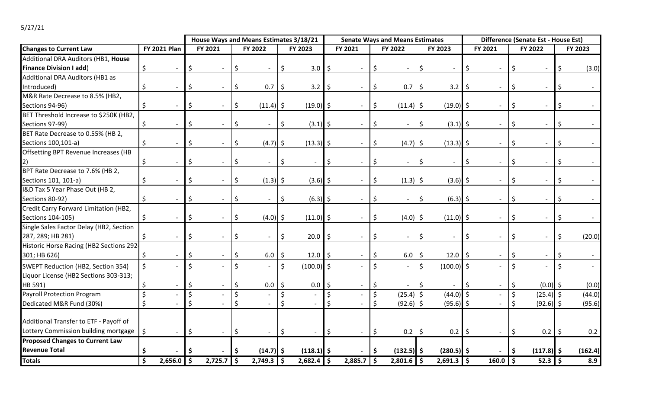# 5/27/21

|                                         |         |                         |         | House Ways and Means Estimates 3/18/21 |         |                          |         |              | <b>Senate Ways and Means Estimates</b> |              |                    |                          |         |              | Difference (Senate Est - House Est) |                |         |                      |              |         |
|-----------------------------------------|---------|-------------------------|---------|----------------------------------------|---------|--------------------------|---------|--------------|----------------------------------------|--------------|--------------------|--------------------------|---------|--------------|-------------------------------------|----------------|---------|----------------------|--------------|---------|
| <b>Changes to Current Law</b>           |         | <b>FY 2021 Plan</b>     |         | FY 2021                                |         | FY 2022                  |         | FY 2023      |                                        | FY 2021      |                    | FY 2022                  |         | FY 2023      |                                     | FY 2021        |         | FY 2022              |              | FY 2023 |
| Additional DRA Auditors (HB1, House     |         |                         |         |                                        |         |                          |         |              |                                        |              |                    |                          |         |              |                                     |                |         |                      |              |         |
| <b>Finance Division I add)</b>          | \$      |                         |         |                                        | S       |                          |         | 3.0          | -\$                                    |              |                    |                          |         |              |                                     |                |         |                      |              | (3.0)   |
| Additional DRA Auditors (HB1 as         |         |                         |         |                                        |         |                          |         |              |                                        |              |                    |                          |         |              |                                     |                |         |                      |              |         |
| Introduced)                             | \$      |                         | S       |                                        | Ŝ.      | 0.7                      | \$      | $3.2$   \$   |                                        |              | \$                 | $0.7$ \$                 |         | 3.2          |                                     |                |         |                      |              |         |
| M&R Rate Decrease to 8.5% (HB2,         |         |                         |         |                                        |         |                          |         |              |                                        |              |                    |                          |         |              |                                     |                |         |                      |              |         |
| Sections 94-96)                         |         |                         |         |                                        | Ŝ.      | $(11.4)$ \$              |         | $(19.0)$ \$  |                                        |              |                    | $(11.4)$ \$              |         | $(19.0)$ \$  |                                     |                |         |                      |              |         |
| BET Threshold Increase to \$250K (HB2,  |         |                         |         |                                        |         |                          |         |              |                                        |              |                    |                          |         |              |                                     |                |         |                      |              |         |
| Sections 97-99)                         | \$      |                         | S       |                                        | \$      |                          | \$      | $(3.1)$ \$   |                                        |              | -\$                | $\overline{\phantom{a}}$ | $\zeta$ | $(3.1)$ \$   |                                     |                |         |                      |              |         |
| BET Rate Decrease to 0.55% (HB 2,       |         |                         |         |                                        |         |                          |         |              |                                        |              |                    |                          |         |              |                                     |                |         |                      |              |         |
| Sections 100,101-a)                     | \$      |                         | S       |                                        | S       | $(4.7)$ \$               |         | $(13.3)$ \$  |                                        |              | S.                 | $(4.7)$ \$               |         | $(13.3)$ \$  |                                     |                |         |                      |              |         |
| Offsetting BPT Revenue Increases (HB    |         |                         |         |                                        |         |                          |         |              |                                        |              |                    |                          |         |              |                                     |                |         |                      |              |         |
|                                         | \$      |                         | \$      |                                        | \$      |                          | \$      |              | \$                                     |              | \$                 |                          | \$      |              |                                     |                |         |                      |              |         |
| BPT Rate Decrease to 7.6% (HB 2,        |         |                         |         |                                        |         |                          |         |              |                                        |              |                    |                          |         |              |                                     |                |         |                      |              |         |
| Sections 101, 101-a)                    |         |                         |         |                                        | Ŝ.      | $(1.3)$ \$               |         | $(3.6)$ \$   |                                        |              | \$                 | $(1.3)$ \$               |         | $(3.6)$ \$   |                                     |                | Ŝ       |                      |              |         |
| I&D Tax 5 Year Phase Out (HB 2,         |         |                         |         |                                        |         |                          |         |              |                                        |              |                    |                          |         |              |                                     |                |         |                      |              |         |
| Sections 80-92)                         | \$      |                         | S       |                                        | \$      |                          | \$      | $(6.3)$ \$   |                                        |              | \$                 |                          | \$      | $(6.3)$ \$   |                                     |                |         |                      | <sup>S</sup> |         |
| Credit Carry Forward Limitation (HB2,   |         |                         |         |                                        |         |                          |         |              |                                        |              |                    |                          |         |              |                                     |                |         |                      |              |         |
| Sections 104-105)                       | \$      |                         | S       |                                        | S       | $(4.0)$ \$               |         | $(11.0)$ \$  |                                        |              | <sup>\$</sup>      | $(4.0)$ \$               |         | $(11.0)$ \$  |                                     | $\blacksquare$ | S       |                      |              |         |
| Single Sales Factor Delay (HB2, Section |         |                         |         |                                        |         |                          |         |              |                                        |              |                    |                          |         |              |                                     |                |         |                      |              |         |
| 287, 289; HB 281)                       | \$      |                         | Ś       |                                        | \$      |                          | \$      | $20.0$ \$    |                                        |              | \$                 |                          | \$      |              | S.                                  |                | Ŝ       |                      | Ŝ.           | (20.0)  |
| Historic Horse Racing (HB2 Sections 292 |         |                         |         |                                        |         |                          |         |              |                                        |              |                    |                          |         |              |                                     |                |         |                      |              |         |
| 301; HB 626)                            | \$      |                         | Ś       |                                        | Ŝ.      | $6.0$ \$                 |         | 12.0         | l \$                                   |              | \$                 | $6.0$   \$               |         | 12.0         |                                     |                | S       |                      |              |         |
| SWEPT Reduction (HB2, Section 354)      | \$      |                         | Ś.      |                                        | Ś.      | $\overline{\phantom{a}}$ | \$      | $(100.0)$ \$ |                                        |              | $\zeta$            | $\overline{\phantom{a}}$ | \$      | $(100.0)$ \$ |                                     |                |         |                      | Ś            |         |
| Liquor License (HB2 Sections 303-313;   |         |                         |         |                                        |         |                          |         |              |                                        |              |                    |                          |         |              |                                     |                |         |                      |              |         |
| HB 591)                                 |         |                         |         |                                        | Ş.      | 0.0                      | \$      | 0.0          | \$                                     |              |                    |                          |         |              |                                     |                |         | $(0.0)$ \$           |              | (0.0)   |
| <b>Payroll Protection Program</b>       | $\zeta$ |                         | $\zeta$ |                                        | $\zeta$ |                          | $\zeta$ |              | $\mathsf{S}$                           |              | $\zeta$            | $(25.4)$ \$              |         | $(44.0)$ \$  |                                     |                | $\zeta$ | $(25.4)$ \$          |              | (44.0)  |
| Dedicated M&R Fund (30%)                | $\zeta$ |                         | $\zeta$ |                                        | $\zeta$ |                          | \$      |              | Ś                                      |              | $\mathsf{\hat{S}}$ | $(92.6)$ \$              |         | $(95.6)$ \$  |                                     |                | $\zeta$ | $(92.6)$ \$          |              | (95.6)  |
|                                         |         |                         |         |                                        |         |                          |         |              |                                        |              |                    |                          |         |              |                                     |                |         |                      |              |         |
| Additional Transfer to ETF - Payoff of  |         |                         |         |                                        |         |                          |         |              |                                        |              |                    |                          |         |              |                                     |                |         |                      |              |         |
| Lottery Commission building mortgage    | $\zeta$ |                         | \$      |                                        | \$      |                          | \$      |              | $\ddot{\mathsf{S}}$                    |              | \$                 | $0.2$   \$               |         | $0.2$ \$     |                                     |                | -Ş      | 0.2                  | \$           | 0.2     |
| <b>Proposed Changes to Current Law</b>  |         |                         |         |                                        |         |                          |         |              |                                        |              |                    |                          |         |              |                                     |                |         |                      |              |         |
| <b>Revenue Total</b>                    |         |                         |         |                                        |         | $(14.7)$ \$              |         | $(118.1)$ \$ |                                        |              |                    | $(132.5)$ \$             |         | $(280.5)$ \$ |                                     |                |         | $(117.8)$ \$         |              | (162.4) |
| <b>Totals</b>                           | \$      | $\overline{2,656.0}$ \$ |         | $2,725.7$ \$                           |         | $2,749.3$ \$             |         | $2,682.4$ \$ |                                        | $2,885.7$ \$ |                    | $2,801.6$ \$             |         | $2,691.3$ \$ |                                     | $160.0$ \$     |         | $\overline{52.3}$ \$ |              | 8.9     |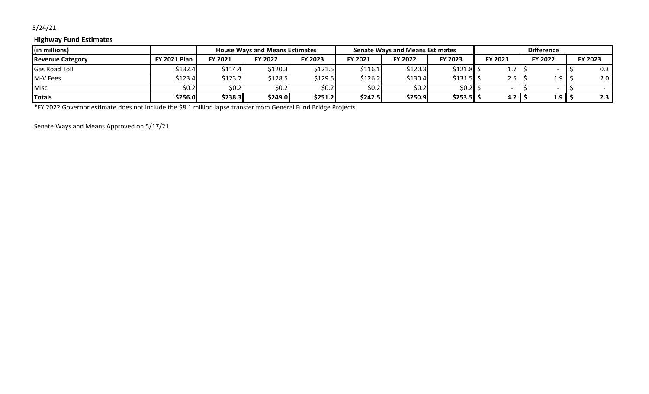## 5/24/21

### **Highway Fund Estimates**

| (in millions)           |                     |         | <b>House Ways and Means Estimates</b> |         |         | <b>Senate Ways and Means Estimates</b> |                     |            |                  |         |
|-------------------------|---------------------|---------|---------------------------------------|---------|---------|----------------------------------------|---------------------|------------|------------------|---------|
| <b>Revenue Category</b> | <b>FY 2021 Plan</b> | FY 2021 | FY 2022                               | FY 2023 | FY 2021 | FY 2022                                | FY 2023             | FY 2021    | FY 2022          | FY 2023 |
| <b>Gas Road Toll</b>    | 5132.4              | \$114.4 | \$120.3                               | \$121.5 | \$116.1 | 5120.3                                 | $$121.8$ :          | .          |                  | 0.3     |
| M-V Fees                | 5123.4              | \$123.7 | \$128.5                               | \$129.5 | \$126.2 | 30.4                                   | \$131.5 <b>1</b> \$ | $2.5 \mid$ | 1.9 <sub>1</sub> | 2.0     |
| <b>Misc</b>             | \$0.2               | \$0.2   | \$0.2                                 | \$0.2]  | \$0.2   | \$0.2                                  | $$0.2]$ ;           |            |                  |         |
| Totals                  | \$256.0             | \$238.3 | \$249.0                               | \$251.2 | \$242.5 | \$250.9                                | $$253.5$ \$         | 4.2        | 1.9              | 2.3     |

\*FY 2022 Governor estimate does not include the \$8.1 million lapse transfer from General Fund Bridge Projects

Senate Ways and Means Approved on 5/17/21